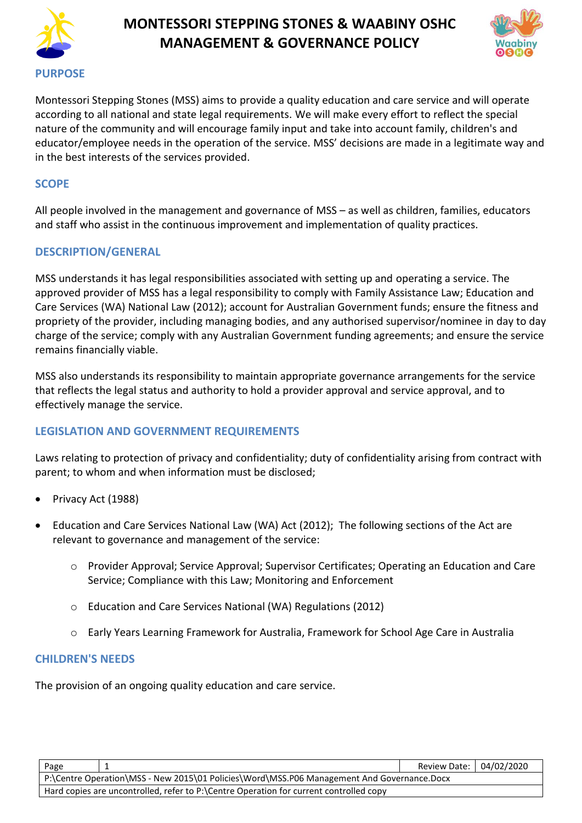

# **MONTESSORI STEPPING STONES & WAABINY OSHC MANAGEMENT & GOVERNANCE POLICY**



Montessori Stepping Stones (MSS) aims to provide a quality education and care service and will operate according to all national and state legal requirements. We will make every effort to reflect the special nature of the community and will encourage family input and take into account family, children's and educator/employee needs in the operation of the service. MSS' decisions are made in a legitimate way and in the best interests of the services provided.

#### **SCOPE**

All people involved in the management and governance of MSS – as well as children, families, educators and staff who assist in the continuous improvement and implementation of quality practices.

### **DESCRIPTION/GENERAL**

MSS understands it has legal responsibilities associated with setting up and operating a service. The approved provider of MSS has a legal responsibility to comply with Family Assistance Law; Education and Care Services (WA) National Law (2012); account for Australian Government funds; ensure the fitness and propriety of the provider, including managing bodies, and any authorised supervisor/nominee in day to day charge of the service; comply with any Australian Government funding agreements; and ensure the service remains financially viable.

MSS also understands its responsibility to maintain appropriate governance arrangements for the service that reflects the legal status and authority to hold a provider approval and service approval, and to effectively manage the service.

### **LEGISLATION AND GOVERNMENT REQUIREMENTS**

Laws relating to protection of privacy and confidentiality; duty of confidentiality arising from contract with parent; to whom and when information must be disclosed;

- Privacy Act (1988)
- Education and Care Services National Law (WA) Act (2012); The following sections of the Act are relevant to governance and management of the service:
	- o Provider Approval; Service Approval; Supervisor Certificates; Operating an Education and Care Service; Compliance with this Law; Monitoring and Enforcement
	- o Education and Care Services National (WA) Regulations (2012)
	- o Early Years Learning Framework for Australia, Framework for School Age Care in Australia

### **CHILDREN'S NEEDS**

The provision of an ongoing quality education and care service.

| Page                                                                                       |  | Review Date: 04/02/2020 |  |  |  |  |
|--------------------------------------------------------------------------------------------|--|-------------------------|--|--|--|--|
| P:\Centre Operation\MSS - New 2015\01 Policies\Word\MSS.P06 Management And Governance.Docx |  |                         |  |  |  |  |
| Hard copies are uncontrolled, refer to P:\Centre Operation for current controlled copy     |  |                         |  |  |  |  |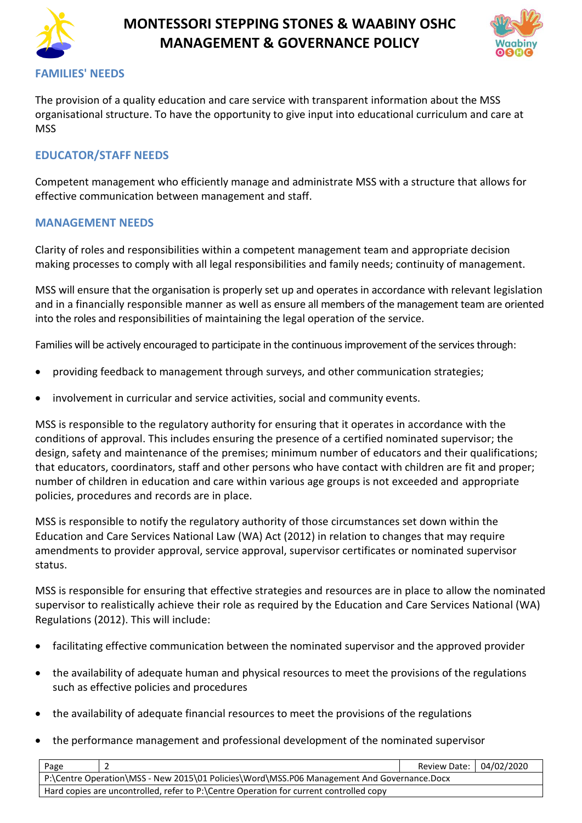

# **MONTESSORI STEPPING STONES & WAABINY OSHC MANAGEMENT & GOVERNANCE POLICY**



#### **FAMILIES' NEEDS**

The provision of a quality education and care service with transparent information about the MSS organisational structure. To have the opportunity to give input into educational curriculum and care at **MSS** 

## **EDUCATOR/STAFF NEEDS**

Competent management who efficiently manage and administrate MSS with a structure that allows for effective communication between management and staff.

#### **MANAGEMENT NEEDS**

Clarity of roles and responsibilities within a competent management team and appropriate decision making processes to comply with all legal responsibilities and family needs; continuity of management.

MSS will ensure that the organisation is properly set up and operates in accordance with relevant legislation and in a financially responsible manner as well as ensure all members of the management team are oriented into the roles and responsibilities of maintaining the legal operation of the service.

Families will be actively encouraged to participate in the continuous improvement of the services through:

- providing feedback to management through surveys, and other communication strategies;
- involvement in curricular and service activities, social and community events.

MSS is responsible to the regulatory authority for ensuring that it operates in accordance with the conditions of approval. This includes ensuring the presence of a certified nominated supervisor; the design, safety and maintenance of the premises; minimum number of educators and their qualifications; that educators, coordinators, staff and other persons who have contact with children are fit and proper; number of children in education and care within various age groups is not exceeded and appropriate policies, procedures and records are in place.

MSS is responsible to notify the regulatory authority of those circumstances set down within the Education and Care Services National Law (WA) Act (2012) in relation to changes that may require amendments to provider approval, service approval, supervisor certificates or nominated supervisor status.

MSS is responsible for ensuring that effective strategies and resources are in place to allow the nominated supervisor to realistically achieve their role as required by the Education and Care Services National (WA) Regulations (2012). This will include:

- facilitating effective communication between the nominated supervisor and the approved provider
- the availability of adequate human and physical resources to meet the provisions of the regulations such as effective policies and procedures
- the availability of adequate financial resources to meet the provisions of the regulations
- the performance management and professional development of the nominated supervisor

| Page                                                                                       |  | Review Date: 04/02/2020 |  |  |  |  |
|--------------------------------------------------------------------------------------------|--|-------------------------|--|--|--|--|
| P:\Centre Operation\MSS - New 2015\01 Policies\Word\MSS.P06 Management And Governance.Docx |  |                         |  |  |  |  |
| Hard copies are uncontrolled, refer to P:\Centre Operation for current controlled copy     |  |                         |  |  |  |  |